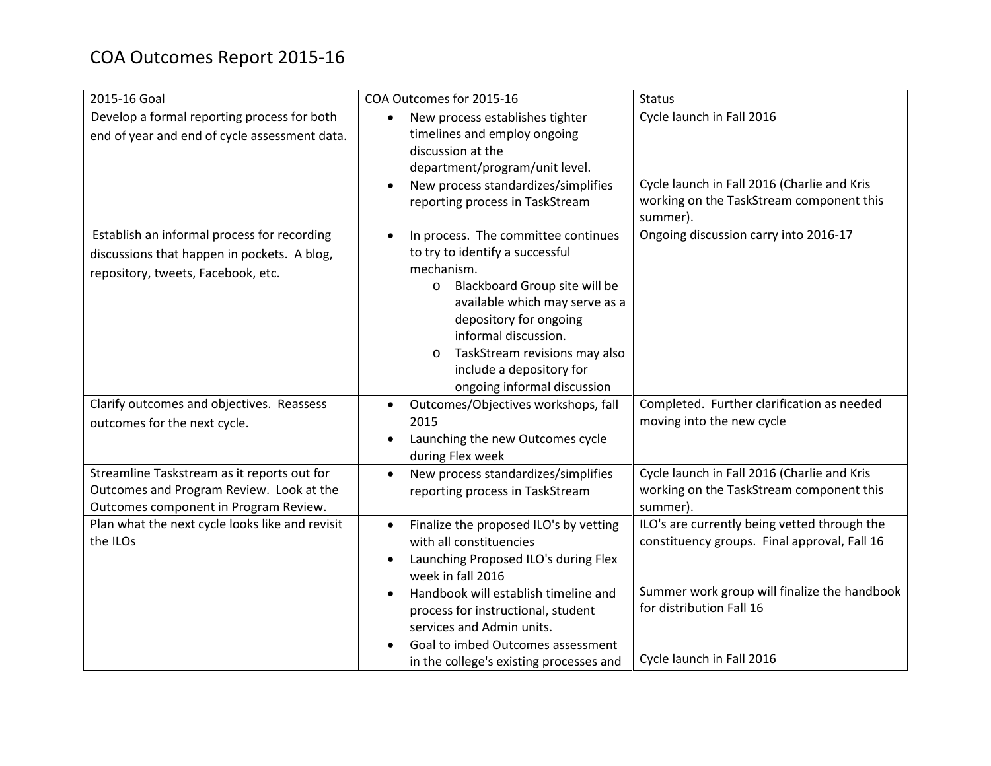| 2015-16 Goal                                                                                                                     | COA Outcomes for 2015-16                                                                                                                                                                                                                                                                                                    | <b>Status</b>                                                                                                                                                                                         |
|----------------------------------------------------------------------------------------------------------------------------------|-----------------------------------------------------------------------------------------------------------------------------------------------------------------------------------------------------------------------------------------------------------------------------------------------------------------------------|-------------------------------------------------------------------------------------------------------------------------------------------------------------------------------------------------------|
| Develop a formal reporting process for both<br>end of year and end of cycle assessment data.                                     | New process establishes tighter<br>timelines and employ ongoing<br>discussion at the<br>department/program/unit level.<br>New process standardizes/simplifies<br>reporting process in TaskStream                                                                                                                            | Cycle launch in Fall 2016<br>Cycle launch in Fall 2016 (Charlie and Kris<br>working on the TaskStream component this<br>summer).                                                                      |
| Establish an informal process for recording<br>discussions that happen in pockets. A blog,<br>repository, tweets, Facebook, etc. | In process. The committee continues<br>to try to identify a successful<br>mechanism.<br>Blackboard Group site will be<br>$\circ$<br>available which may serve as a<br>depository for ongoing<br>informal discussion.<br>TaskStream revisions may also<br>$\circ$<br>include a depository for<br>ongoing informal discussion | Ongoing discussion carry into 2016-17                                                                                                                                                                 |
| Clarify outcomes and objectives. Reassess<br>outcomes for the next cycle.                                                        | Outcomes/Objectives workshops, fall<br>$\bullet$<br>2015<br>Launching the new Outcomes cycle<br>during Flex week                                                                                                                                                                                                            | Completed. Further clarification as needed<br>moving into the new cycle                                                                                                                               |
| Streamline Taskstream as it reports out for<br>Outcomes and Program Review. Look at the<br>Outcomes component in Program Review. | New process standardizes/simplifies<br>$\bullet$<br>reporting process in TaskStream                                                                                                                                                                                                                                         | Cycle launch in Fall 2016 (Charlie and Kris<br>working on the TaskStream component this<br>summer).                                                                                                   |
| Plan what the next cycle looks like and revisit<br>the ILOs                                                                      | Finalize the proposed ILO's by vetting<br>with all constituencies<br>Launching Proposed ILO's during Flex<br>week in fall 2016<br>Handbook will establish timeline and<br>process for instructional, student<br>services and Admin units.<br>Goal to imbed Outcomes assessment<br>in the college's existing processes and   | ILO's are currently being vetted through the<br>constituency groups. Final approval, Fall 16<br>Summer work group will finalize the handbook<br>for distribution Fall 16<br>Cycle launch in Fall 2016 |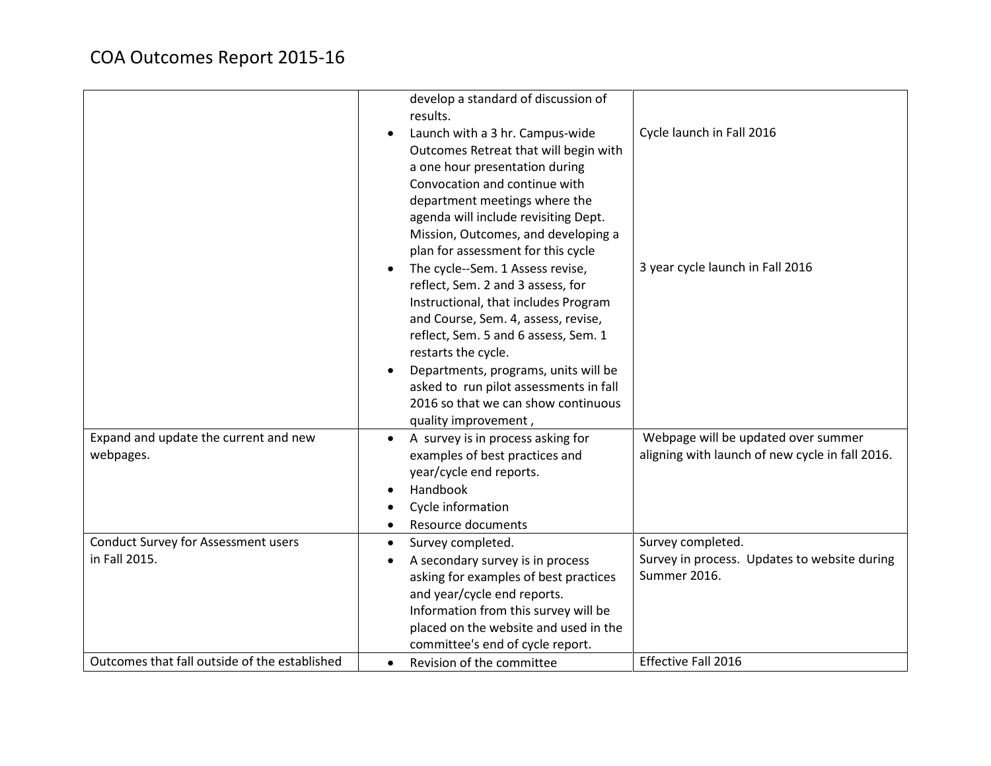|                                                    | develop a standard of discussion of<br>results.<br>Launch with a 3 hr. Campus-wide<br>Outcomes Retreat that will begin with<br>a one hour presentation during<br>Convocation and continue with<br>department meetings where the<br>agenda will include revisiting Dept.<br>Mission, Outcomes, and developing a<br>plan for assessment for this cycle<br>The cycle--Sem. 1 Assess revise,<br>reflect, Sem. 2 and 3 assess, for<br>Instructional, that includes Program<br>and Course, Sem. 4, assess, revise,<br>reflect, Sem. 5 and 6 assess, Sem. 1<br>restarts the cycle.<br>Departments, programs, units will be<br>asked to run pilot assessments in fall<br>2016 so that we can show continuous<br>quality improvement, | Cycle launch in Fall 2016<br>3 year cycle launch in Fall 2016                          |
|----------------------------------------------------|------------------------------------------------------------------------------------------------------------------------------------------------------------------------------------------------------------------------------------------------------------------------------------------------------------------------------------------------------------------------------------------------------------------------------------------------------------------------------------------------------------------------------------------------------------------------------------------------------------------------------------------------------------------------------------------------------------------------------|----------------------------------------------------------------------------------------|
| Expand and update the current and new<br>webpages. | A survey is in process asking for<br>examples of best practices and<br>year/cycle end reports.<br>Handbook<br>Cycle information<br>Resource documents                                                                                                                                                                                                                                                                                                                                                                                                                                                                                                                                                                        | Webpage will be updated over summer<br>aligning with launch of new cycle in fall 2016. |
| <b>Conduct Survey for Assessment users</b>         | Survey completed.<br>$\bullet$                                                                                                                                                                                                                                                                                                                                                                                                                                                                                                                                                                                                                                                                                               | Survey completed.                                                                      |
| in Fall 2015.                                      | A secondary survey is in process                                                                                                                                                                                                                                                                                                                                                                                                                                                                                                                                                                                                                                                                                             | Survey in process. Updates to website during                                           |
|                                                    | asking for examples of best practices                                                                                                                                                                                                                                                                                                                                                                                                                                                                                                                                                                                                                                                                                        | Summer 2016.                                                                           |
|                                                    | and year/cycle end reports.                                                                                                                                                                                                                                                                                                                                                                                                                                                                                                                                                                                                                                                                                                  |                                                                                        |
|                                                    | Information from this survey will be                                                                                                                                                                                                                                                                                                                                                                                                                                                                                                                                                                                                                                                                                         |                                                                                        |
|                                                    | placed on the website and used in the                                                                                                                                                                                                                                                                                                                                                                                                                                                                                                                                                                                                                                                                                        |                                                                                        |
|                                                    | committee's end of cycle report.                                                                                                                                                                                                                                                                                                                                                                                                                                                                                                                                                                                                                                                                                             |                                                                                        |
| Outcomes that fall outside of the established      | Revision of the committee<br>$\bullet$                                                                                                                                                                                                                                                                                                                                                                                                                                                                                                                                                                                                                                                                                       | Effective Fall 2016                                                                    |